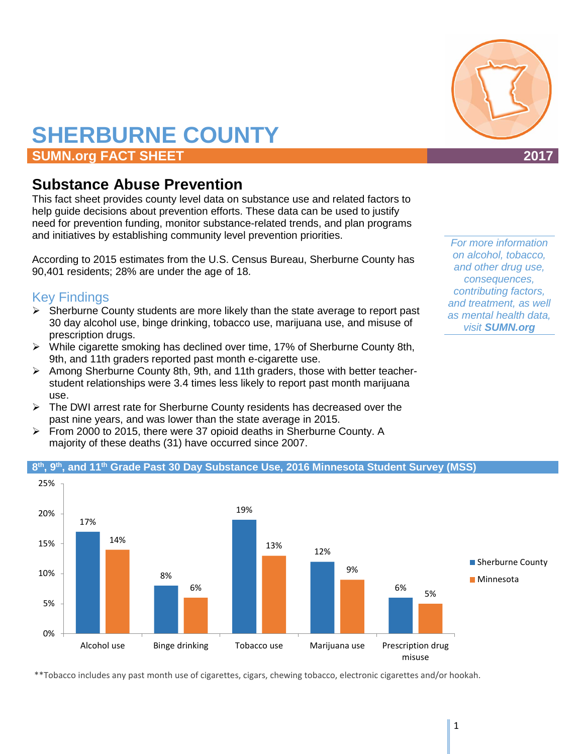# **SHERBURNE COUNTY**

# **SUMN.org FACT SHEET 2017**

# **Substance Abuse Prevention**

This fact sheet provides county level data on substance use and related factors to help guide decisions about prevention efforts. These data can be used to justify need for prevention funding, monitor substance-related trends, and plan programs and initiatives by establishing community level prevention priorities.

According to 2015 estimates from the U.S. Census Bureau, Sherburne County has 90,401 residents; 28% are under the age of 18.

# Key Findings

- $\triangleright$  Sherburne County students are more likely than the state average to report past 30 day alcohol use, binge drinking, tobacco use, marijuana use, and misuse of prescription drugs.
- While cigarette smoking has declined over time, 17% of Sherburne County 8th, 9th, and 11th graders reported past month e-cigarette use.
- $\triangleright$  Among Sherburne County 8th, 9th, and 11th graders, those with better teacherstudent relationships were 3.4 times less likely to report past month marijuana use.
- $\triangleright$  The DWI arrest rate for Sherburne County residents has decreased over the past nine years, and was lower than the state average in 2015.
- From 2000 to 2015, there were 37 opioid deaths in Sherburne County. A majority of these deaths (31) have occurred since 2007.



#### **8th, 9th, and 11th Grade Past 30 Day Substance Use, 2016 Minnesota Student Survey (MSS)**

\*\*Tobacco includes any past month use of cigarettes, cigars, chewing tobacco, electronic cigarettes and/or hookah.



*For more information on alcohol, tobacco, and other drug use, consequences, contributing factors, and treatment, as well as mental health data, visit SUMN.org*

misuse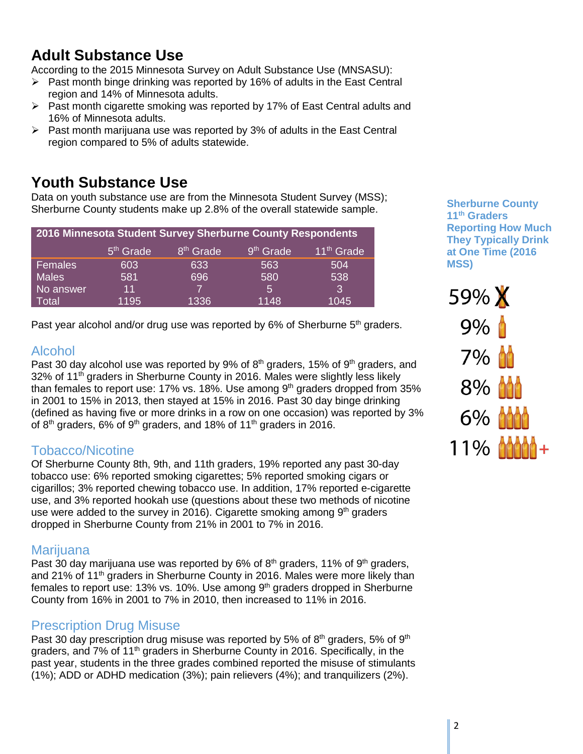# **Adult Substance Use**

According to the 2015 Minnesota Survey on Adult Substance Use (MNSASU):

- $\triangleright$  Past month binge drinking was reported by 16% of adults in the East Central region and 14% of Minnesota adults.
- $\triangleright$  Past month cigarette smoking was reported by 17% of East Central adults and 16% of Minnesota adults.
- $\triangleright$  Past month marijuana use was reported by 3% of adults in the East Central region compared to 5% of adults statewide.

# **Youth Substance Use**

Data on youth substance use are from the Minnesota Student Survey (MSS); Sherburne County students make up 2.8% of the overall statewide sample.

| 2016 Minnesota Student Survey Sherburne County Respondents |                       |                       |                       |                        |  |  |
|------------------------------------------------------------|-----------------------|-----------------------|-----------------------|------------------------|--|--|
|                                                            | 5 <sup>th</sup> Grade | 8 <sup>th</sup> Grade | 9 <sup>th</sup> Grade | 11 <sup>th</sup> Grade |  |  |
| Females                                                    | 603                   | 633                   | 563                   | 504                    |  |  |
| <b>Males</b>                                               | 581                   | 696                   | 580                   | 538                    |  |  |
| No answer                                                  | 11                    |                       | 5                     | 3                      |  |  |
| Total                                                      | 1195                  | 1336                  | 1148                  | 1045                   |  |  |

Past year alcohol and/or drug use was reported by 6% of Sherburne 5<sup>th</sup> graders.

## Alcohol

Past 30 day alcohol use was reported by 9% of  $8<sup>th</sup>$  graders, 15% of  $9<sup>th</sup>$  graders, and 32% of 11th graders in Sherburne County in 2016. Males were slightly less likely than females to report use: 17% vs. 18%. Use among  $9<sup>th</sup>$  graders dropped from 35% in 2001 to 15% in 2013, then stayed at 15% in 2016. Past 30 day binge drinking (defined as having five or more drinks in a row on one occasion) was reported by 3% of  $8<sup>th</sup>$  graders, 6% of  $9<sup>th</sup>$  graders, and 18% of 11<sup>th</sup> graders in 2016.

# Tobacco/Nicotine

Of Sherburne County 8th, 9th, and 11th graders, 19% reported any past 30-day tobacco use: 6% reported smoking cigarettes; 5% reported smoking cigars or cigarillos; 3% reported chewing tobacco use. In addition, 17% reported e-cigarette use, and 3% reported hookah use (questions about these two methods of nicotine use were added to the survey in 2016). Cigarette smoking among  $9<sup>th</sup>$  graders dropped in Sherburne County from 21% in 2001 to 7% in 2016.

## **Marijuana**

Past 30 day marijuana use was reported by 6% of  $8<sup>th</sup>$  graders, 11% of  $9<sup>th</sup>$  graders, and 21% of 11<sup>th</sup> graders in Sherburne County in 2016. Males were more likely than females to report use: 13% vs. 10%. Use among  $9<sup>th</sup>$  graders dropped in Sherburne County from 16% in 2001 to 7% in 2010, then increased to 11% in 2016.

## Prescription Drug Misuse

Past 30 day prescription drug misuse was reported by 5% of  $8<sup>th</sup>$  graders, 5% of  $9<sup>th</sup>$ graders, and  $7\%$  of 11<sup>th</sup> graders in Sherburne County in 2016. Specifically, in the past year, students in the three grades combined reported the misuse of stimulants (1%); ADD or ADHD medication (3%); pain relievers (4%); and tranquilizers (2%).

**Sherburne County 11th Graders Reporting How Much They Typically Drink at One Time (2016 MSS)**

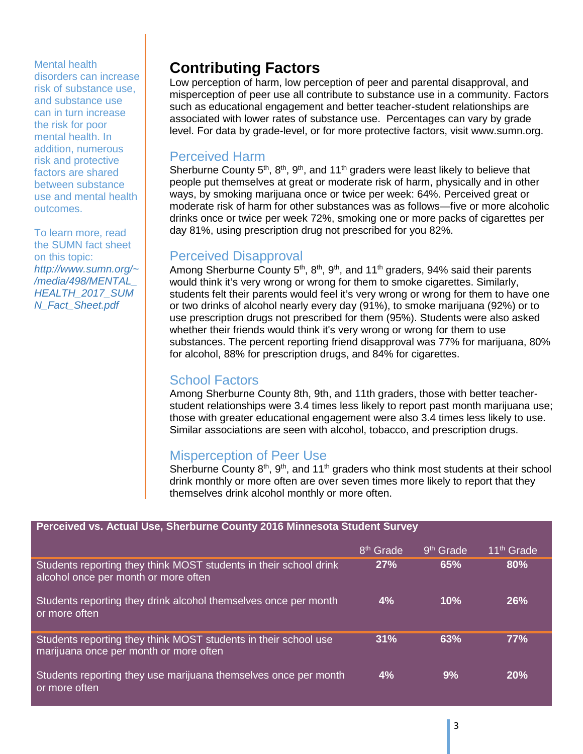#### Mental health

disorders can increase risk of substance use, and substance use can in turn increase the risk for poor mental health. In addition, numerous risk and protective factors are shared between substance use and mental health outcomes.

To learn more, read the SUMN fact sheet on this topic: *http://www.sumn.org/~ /media/498/MENTAL\_ HEALTH\_2017\_SUM N\_Fact\_Sheet.pdf*

# **Contributing Factors**

Low perception of harm, low perception of peer and parental disapproval, and misperception of peer use all contribute to substance use in a community. Factors such as educational engagement and better teacher-student relationships are associated with lower rates of substance use. Percentages can vary by grade level. For data by grade-level, or for more protective factors, visit www.sumn.org.

#### Perceived Harm

Sherburne County  $5<sup>th</sup>$ ,  $8<sup>th</sup>$ ,  $9<sup>th</sup>$ , and  $11<sup>th</sup>$  graders were least likely to believe that people put themselves at great or moderate risk of harm, physically and in other ways, by smoking marijuana once or twice per week: 64%. Perceived great or moderate risk of harm for other substances was as follows—five or more alcoholic drinks once or twice per week 72%, smoking one or more packs of cigarettes per day 81%, using prescription drug not prescribed for you 82%.

## Perceived Disapproval

Among Sherburne County  $5<sup>th</sup>$ ,  $8<sup>th</sup>$ ,  $9<sup>th</sup>$ , and  $11<sup>th</sup>$  graders,  $94%$  said their parents would think it's very wrong or wrong for them to smoke cigarettes. Similarly, students felt their parents would feel it's very wrong or wrong for them to have one or two drinks of alcohol nearly every day (91%), to smoke marijuana (92%) or to use prescription drugs not prescribed for them (95%). Students were also asked whether their friends would think it's very wrong or wrong for them to use substances. The percent reporting friend disapproval was 77% for marijuana, 80% for alcohol, 88% for prescription drugs, and 84% for cigarettes.

#### School Factors

Among Sherburne County 8th, 9th, and 11th graders, those with better teacherstudent relationships were 3.4 times less likely to report past month marijuana use; those with greater educational engagement were also 3.4 times less likely to use. Similar associations are seen with alcohol, tobacco, and prescription drugs.

## Misperception of Peer Use

Sherburne County  $8<sup>th</sup>$ ,  $9<sup>th</sup>$ , and 11<sup>th</sup> graders who think most students at their school drink monthly or more often are over seven times more likely to report that they themselves drink alcohol monthly or more often.

| Perceived vs. Actual Use, Sherburne County 2016 Minnesota Student Survey                                  |                       |                       |                        |  |  |
|-----------------------------------------------------------------------------------------------------------|-----------------------|-----------------------|------------------------|--|--|
|                                                                                                           | 8 <sup>th</sup> Grade | 9 <sup>th</sup> Grade | 11 <sup>th</sup> Grade |  |  |
| Students reporting they think MOST students in their school drink<br>alcohol once per month or more often | 27%                   | 65%                   | 80%                    |  |  |
| Students reporting they drink alcohol themselves once per month<br>or more often                          | 4%                    | 10%                   | <b>26%</b>             |  |  |
| Students reporting they think MOST students in their school use<br>marijuana once per month or more often | 31%                   | 63%                   | 77%                    |  |  |
| Students reporting they use marijuana themselves once per month<br>or more often                          | 4%                    | 9%                    | 20%                    |  |  |